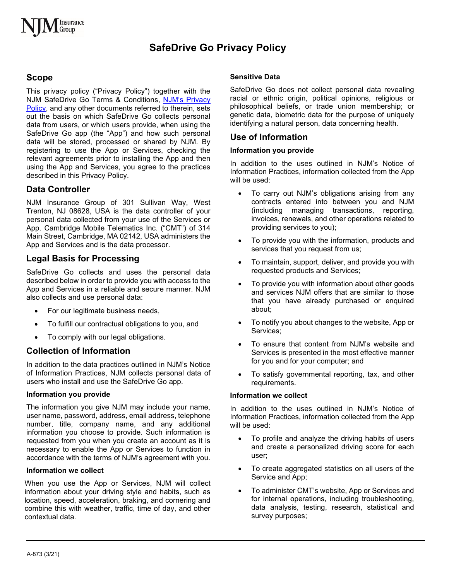# **SafeDrive Go Privacy Policy**

# **Scope**

This privacy policy ("Privacy Policy") together with the NJM SafeDrive Go Terms & Conditions, [NJM's Privacy](https://www.njm.com/about/privacy)  [Policy,](https://www.njm.com/about/privacy) and any other documents referred to therein, sets out the basis on which SafeDrive Go collects personal data from users, or which users provide, when using the SafeDrive Go app (the "App") and how such personal data will be stored, processed or shared by NJM. By registering to use the App or Services, checking the relevant agreements prior to installing the App and then using the App and Services, you agree to the practices described in this Privacy Policy.

# **Data Controller**

NJM Insurance Group of 301 Sullivan Way, West Trenton, NJ 08628, USA is the data controller of your personal data collected from your use of the Services or App. Cambridge Mobile Telematics Inc. ("CMT") of 314 Main Street, Cambridge, MA 02142, USA administers the App and Services and is the data processor.

# **Legal Basis for Processing**

SafeDrive Go collects and uses the personal data described below in order to provide you with access to the App and Services in a reliable and secure manner. NJM also collects and use personal data:

- For our legitimate business needs,
- To fulfill our contractual obligations to you, and
- To comply with our legal obligations.

### **Collection of Information**

In addition to the data practices outlined in NJM's Notice of Information Practices, NJM collects personal data of users who install and use the SafeDrive Go app.

#### **Information you provide**

The information you give NJM may include your name, user name, password, address, email address, telephone number, title, company name, and any additional information you choose to provide. Such information is requested from you when you create an account as it is necessary to enable the App or Services to function in accordance with the terms of NJM's agreement with you.

#### **Information we collect**

When you use the App or Services, NJM will collect information about your driving style and habits, such as location, speed, acceleration, braking, and cornering and combine this with weather, traffic, time of day, and other contextual data.

#### **Sensitive Data**

SafeDrive Go does not collect personal data revealing racial or ethnic origin, political opinions, religious or philosophical beliefs, or trade union membership; or genetic data, biometric data for the purpose of uniquely identifying a natural person, data concerning health.

# **Use of Information**

#### **Information you provide**

In addition to the uses outlined in NJM's Notice of Information Practices, information collected from the App will be used:

- To carry out NJM's obligations arising from any contracts entered into between you and NJM (including managing transactions, reporting, invoices, renewals, and other operations related to providing services to you);
- To provide you with the information, products and services that you request from us;
- To maintain, support, deliver, and provide you with requested products and Services;
- To provide you with information about other goods and services NJM offers that are similar to those that you have already purchased or enquired about;
- To notify you about changes to the website, App or Services;
- To ensure that content from NJM's website and Services is presented in the most effective manner for you and for your computer; and
- To satisfy governmental reporting, tax, and other requirements.

#### **Information we collect**

In addition to the uses outlined in NJM's Notice of Information Practices, information collected from the App will be used:

- To profile and analyze the driving habits of users and create a personalized driving score for each user;
- To create aggregated statistics on all users of the Service and App;
- To administer CMT's website, App or Services and for internal operations, including troubleshooting, data analysis, testing, research, statistical and survey purposes;